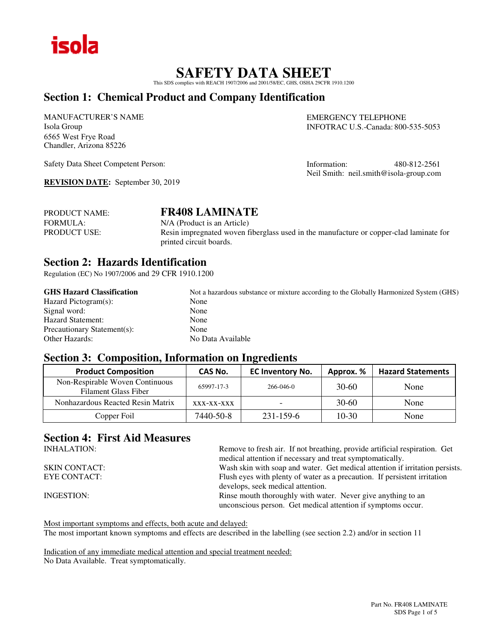

## **SAFETY DATA SHEET**

This SDS complies with REACH 1907/2006 and 2001/58/EC, GHS, OSHA 29CFR 1910.1200

## **Section 1: Chemical Product and Company Identification**

MANUFACTURER'S NAME Isola Group 6565 West Frye Road Chandler, Arizona 85226

Safety Data Sheet Competent Person:

**REVISION DATE:** September 30, 2019

EMERGENCY TELEPHONE INFOTRAC U.S.-Canada: 800-535-5053

Information: 480-812-2561 Neil Smith: neil.smith@isola-group.com

| <b>PRODUCT NAME:</b> | <b>FR408 LAMINATE</b>                                                                  |
|----------------------|----------------------------------------------------------------------------------------|
| <b>FORMULA:</b>      | N/A (Product is an Article)                                                            |
| <b>PRODUCT USE:</b>  | Resin impregnated woven fiberglass used in the manufacture or copper-clad laminate for |
|                      | printed circuit boards.                                                                |

## **Section 2: Hazards Identification**

Regulation (EC) No 1907/2006 and 29 CFR 1910.1200

| <b>GHS Hazard Classification</b> | Not a hazardous substance or mixture according to the Globally Harmonized System (GHS) |
|----------------------------------|----------------------------------------------------------------------------------------|
| Hazard Pictogram(s):             | None                                                                                   |
| Signal word:                     | None                                                                                   |
| <b>Hazard Statement:</b>         | None                                                                                   |
| Precautionary Statement(s):      | None                                                                                   |
| <b>Other Hazards:</b>            | No Data Available                                                                      |

## **Section 3: Composition, Information on Ingredients**

| <b>Product Composition</b>                                     | CAS No.    | <b>EC Inventory No.</b> | Approx. % | <b>Hazard Statements</b> |
|----------------------------------------------------------------|------------|-------------------------|-----------|--------------------------|
| Non-Respirable Woven Continuous<br><b>Filament Glass Fiber</b> | 65997-17-3 | $266 - 046 - 0$         | $30-60$   | None                     |
| Nonhazardous Reacted Resin Matrix                              | XXX-XX-XXX | -                       | $30-60$   | None                     |
| Copper Foil                                                    | 7440-50-8  | 231-159-6               | $10-30$   | None                     |

## **Section 4: First Aid Measures**

| Remove to fresh air. If not breathing, provide artificial respiration. Get<br>medical attention if necessary and treat symptomatically. |
|-----------------------------------------------------------------------------------------------------------------------------------------|
| Wash skin with soap and water. Get medical attention if irritation persists.                                                            |
| Flush eyes with plenty of water as a precaution. If persistent irritation<br>develops, seek medical attention.                          |
| Rinse mouth thoroughly with water. Never give anything to an<br>unconscious person. Get medical attention if symptoms occur.            |
|                                                                                                                                         |

Most important symptoms and effects, both acute and delayed: The most important known symptoms and effects are described in the labelling (see section 2.2) and/or in section 11

Indication of any immediate medical attention and special treatment needed: No Data Available. Treat symptomatically.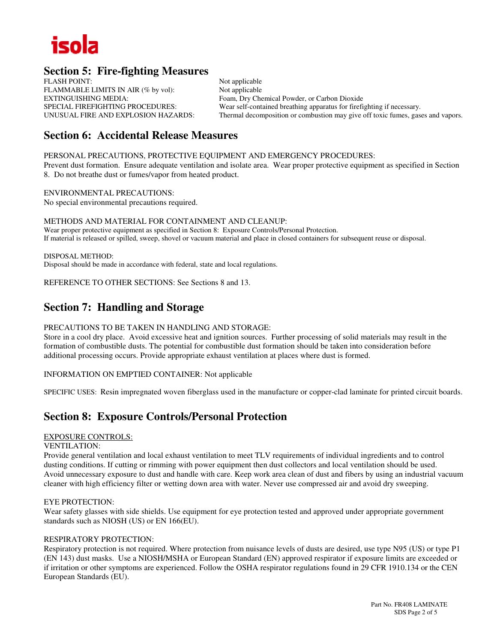

## **Section 5: Fire-fighting Measures**

FLASH POINT: Not applicable FLAMMABLE LIMITS IN AIR (% by vol): Not applicable EXTINGUISHING MEDIA:<br>
Foam, Dry Chemical Powder, or Carbon Dioxide<br>
Foam, Dry Chemical Powder, or Carbon Dioxide<br>
Foam, Pry Chemical Powder, or Carbon Dioxide<br>
Foam, Pry Chemical Powder, or Carbon Dioxide<br>
Foam, Dry Chemic

SPECIAL FIREFIGHTING PROCEDURES: Wear self-contained breathing apparatus for firefighting if necessary.<br>
UNUSUAL FIRE AND EXPLOSION HAZARDS: Thermal decomposition or combustion may give off toxic fumes, gase Thermal decomposition or combustion may give off toxic fumes, gases and vapors.

## **Section 6: Accidental Release Measures**

PERSONAL PRECAUTIONS, PROTECTIVE EQUIPMENT AND EMERGENCY PROCEDURES:

Prevent dust formation. Ensure adequate ventilation and isolate area. Wear proper protective equipment as specified in Section 8. Do not breathe dust or fumes/vapor from heated product.

ENVIRONMENTAL PRECAUTIONS: No special environmental precautions required.

METHODS AND MATERIAL FOR CONTAINMENT AND CLEANUP: Wear proper protective equipment as specified in Section 8: Exposure Controls/Personal Protection. If material is released or spilled, sweep, shovel or vacuum material and place in closed containers for subsequent reuse or disposal.

DISPOSAL METHOD: Disposal should be made in accordance with federal, state and local regulations.

REFERENCE TO OTHER SECTIONS: See Sections 8 and 13.

## **Section 7: Handling and Storage**

#### PRECAUTIONS TO BE TAKEN IN HANDLING AND STORAGE:

Store in a cool dry place. Avoid excessive heat and ignition sources. Further processing of solid materials may result in the formation of combustible dusts. The potential for combustible dust formation should be taken into consideration before additional processing occurs. Provide appropriate exhaust ventilation at places where dust is formed.

INFORMATION ON EMPTIED CONTAINER: Not applicable

SPECIFIC USES: Resin impregnated woven fiberglass used in the manufacture or copper-clad laminate for printed circuit boards.

## **Section 8: Exposure Controls/Personal Protection**

#### EXPOSURE CONTROLS:

#### VENTILATION:

Provide general ventilation and local exhaust ventilation to meet TLV requirements of individual ingredients and to control dusting conditions. If cutting or rimming with power equipment then dust collectors and local ventilation should be used. Avoid unnecessary exposure to dust and handle with care. Keep work area clean of dust and fibers by using an industrial vacuum cleaner with high efficiency filter or wetting down area with water. Never use compressed air and avoid dry sweeping.

#### EYE PROTECTION:

Wear safety glasses with side shields. Use equipment for eye protection tested and approved under appropriate government standards such as NIOSH (US) or EN 166(EU).

### RESPIRATORY PROTECTION:

Respiratory protection is not required. Where protection from nuisance levels of dusts are desired, use type N95 (US) or type P1 (EN 143) dust masks. Use a NIOSH/MSHA or European Standard (EN) approved respirator if exposure limits are exceeded or if irritation or other symptoms are experienced. Follow the OSHA respirator regulations found in 29 CFR 1910.134 or the CEN European Standards (EU).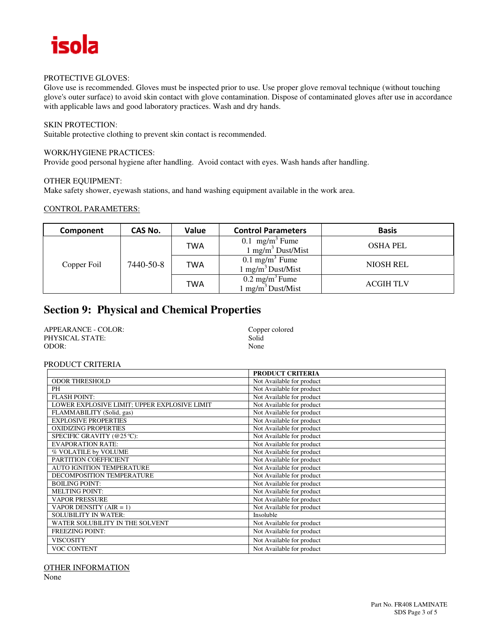

#### PROTECTIVE GLOVES:

Glove use is recommended. Gloves must be inspected prior to use. Use proper glove removal technique (without touching glove's outer surface) to avoid skin contact with glove contamination. Dispose of contaminated gloves after use in accordance with applicable laws and good laboratory practices. Wash and dry hands.

### SKIN PROTECTION:

Suitable protective clothing to prevent skin contact is recommended.

#### WORK/HYGIENE PRACTICES:

Provide good personal hygiene after handling. Avoid contact with eyes. Wash hands after handling.

#### OTHER EQUIPMENT:

Make safety shower, eyewash stations, and hand washing equipment available in the work area.

#### CONTROL PARAMETERS:

| Component   | CAS No.   | Value | <b>Control Parameters</b>                                    | <b>Basis</b>     |
|-------------|-----------|-------|--------------------------------------------------------------|------------------|
| Copper Foil | 7440-50-8 | TWA   | $0.1$ mg/m <sup>3</sup> Fume<br>$1 \text{ mg/m}^3$ Dust/Mist | <b>OSHA PEL</b>  |
|             |           | TWA   | $0.1 \text{ mg/m}^3$ Fume<br>$1 \text{ mg/m}^3$ Dust/Mist    | <b>NIOSH REL</b> |
|             |           | TWA   | $0.2 \text{ mg/m}^3$ Fume<br>$1 \text{ mg/m}^3$ Dust/Mist    | <b>ACGIH TLV</b> |

## **Section 9: Physical and Chemical Properties**

| APPEARANCE - COLOR: | Copper colored |
|---------------------|----------------|
| PHYSICAL STATE:     | Solid          |
| ODOR:               | None           |

#### PRODUCT CRITERIA

|                                              | <b>PRODUCT CRITERIA</b>   |
|----------------------------------------------|---------------------------|
| <b>ODOR THRESHOLD</b>                        | Not Available for product |
| PH                                           | Not Available for product |
| <b>FLASH POINT:</b>                          | Not Available for product |
| LOWER EXPLOSIVE LIMIT; UPPER EXPLOSIVE LIMIT | Not Available for product |
| FLAMMABILITY (Solid, gas)                    | Not Available for product |
| <b>EXPLOSIVE PROPERTIES</b>                  | Not Available for product |
| <b>OXIDIZING PROPERTIES</b>                  | Not Available for product |
| SPECIFIC GRAVITY (@25 °C):                   | Not Available for product |
| <b>EVAPORATION RATE:</b>                     | Not Available for product |
| % VOLATILE by VOLUME                         | Not Available for product |
| PARTITION COEFFICIENT                        | Not Available for product |
| <b>AUTO IGNITION TEMPERATURE</b>             | Not Available for product |
| DECOMPOSITION TEMPERATURE                    | Not Available for product |
| <b>BOILING POINT:</b>                        | Not Available for product |
| <b>MELTING POINT:</b>                        | Not Available for product |
| <b>VAPOR PRESSURE</b>                        | Not Available for product |
| VAPOR DENSITY $(AIR = 1)$                    | Not Available for product |
| <b>SOLUBILITY IN WATER:</b>                  | Insoluble                 |
| WATER SOLUBILITY IN THE SOLVENT              | Not Available for product |
| <b>FREEZING POINT:</b>                       | Not Available for product |
| <b>VISCOSITY</b>                             | Not Available for product |
| <b>VOC CONTENT</b>                           | Not Available for product |

OTHER INFORMATION

None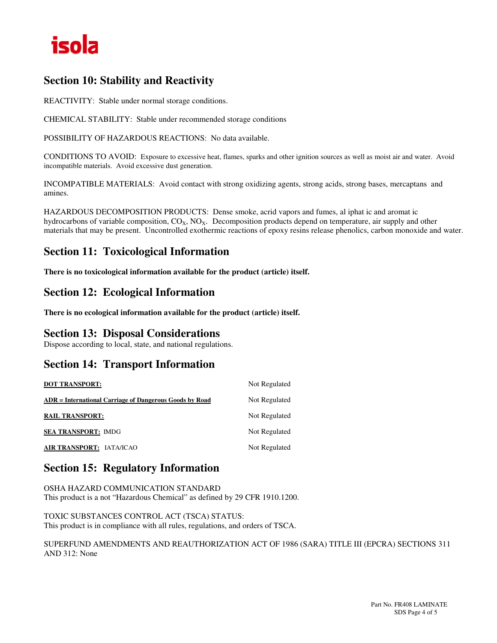

## **Section 10: Stability and Reactivity**

REACTIVITY: Stable under normal storage conditions.

CHEMICAL STABILITY: Stable under recommended storage conditions

POSSIBILITY OF HAZARDOUS REACTIONS: No data available.

CONDITIONS TO AVOID: Exposure to excessive heat, flames, sparks and other ignition sources as well as moist air and water. Avoid incompatible materials. Avoid excessive dust generation.

INCOMPATIBLE MATERIALS: Avoid contact with strong oxidizing agents, strong acids, strong bases, mercaptans and amines.

HAZARDOUS DECOMPOSITION PRODUCTS: Dense smoke, acrid vapors and fumes, al iphat ic and aromat ic hydrocarbons of variable composition,  $CO_X$ ,  $NO_X$ . Decomposition products depend on temperature, air supply and other materials that may be present. Uncontrolled exothermic reactions of epoxy resins release phenolics, carbon monoxide and water.

## **Section 11: Toxicological Information**

**There is no toxicological information available for the product (article) itself.** 

## **Section 12: Ecological Information**

**There is no ecological information available for the product (article) itself.** 

## **Section 13: Disposal Considerations**

Dispose according to local, state, and national regulations.

## **Section 14: Transport Information**

| <b>DOT TRANSPORT:</b>                                   | Not Regulated |
|---------------------------------------------------------|---------------|
| ADR = International Carriage of Dangerous Goods by Road | Not Regulated |
| <b>RAIL TRANSPORT:</b>                                  | Not Regulated |
| <b>SEA TRANSPORT: IMDG</b>                              | Not Regulated |
| AIR TRANSPORT: IATA/ICAO                                | Not Regulated |

## **Section 15: Regulatory Information**

OSHA HAZARD COMMUNICATION STANDARD This product is a not "Hazardous Chemical" as defined by 29 CFR 1910.1200.

TOXIC SUBSTANCES CONTROL ACT (TSCA) STATUS: This product is in compliance with all rules, regulations, and orders of TSCA.

SUPERFUND AMENDMENTS AND REAUTHORIZATION ACT OF 1986 (SARA) TITLE III (EPCRA) SECTIONS 311 AND 312: None